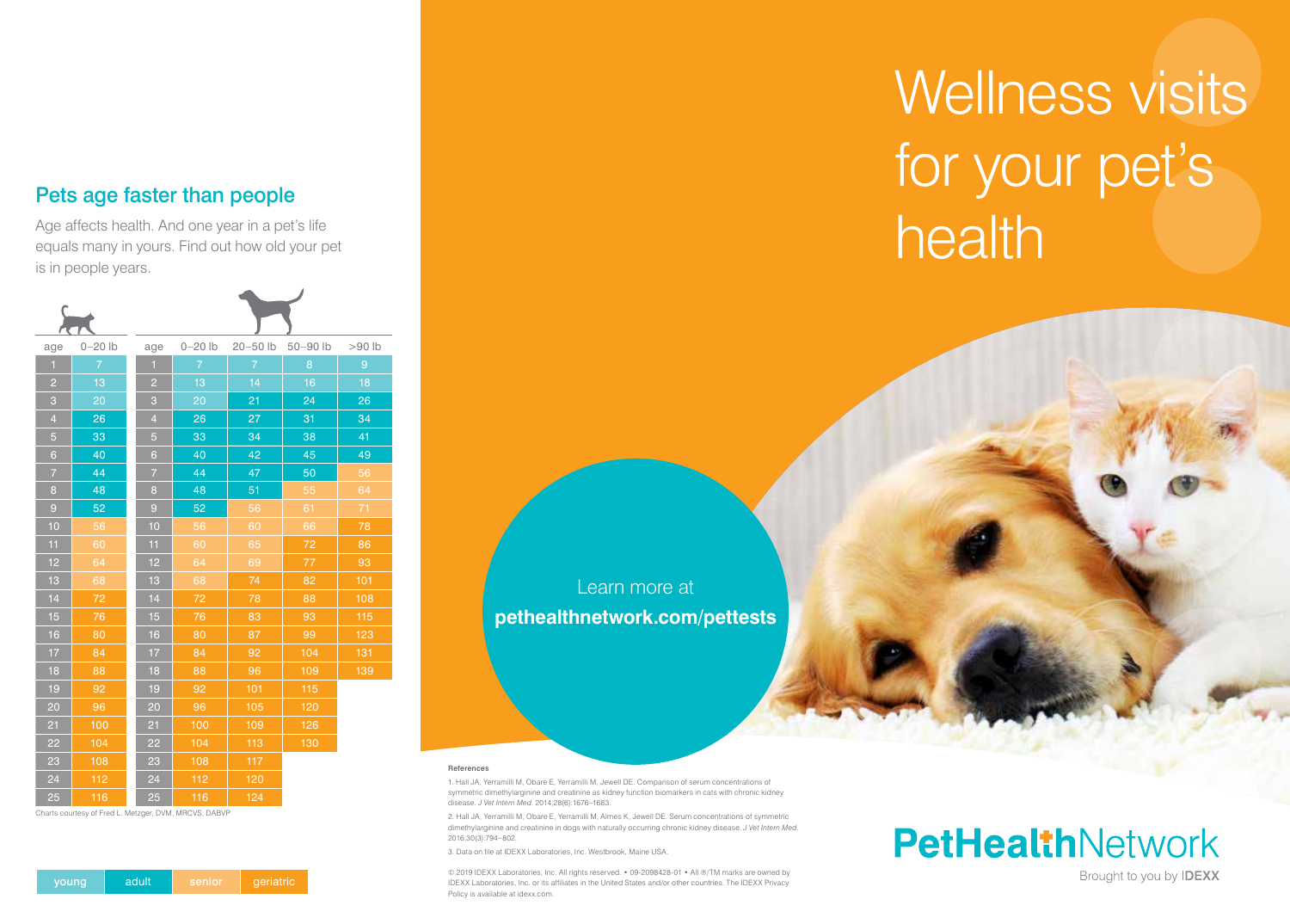### Pets age faster than people

Age affects health. And one year in a pet's life equals many in yours. Find out how old your pet is in people years.





| age            | $0 - 20$ lb    | age            | $0 - 20$ lb    | $20 - 50$ lb   | 50-90 lb | >90 lb |
|----------------|----------------|----------------|----------------|----------------|----------|--------|
| $\mathbf{1}$   | $\overline{7}$ | $\blacksquare$ | $\overline{7}$ | $\overline{7}$ | 8        | 9      |
| $\overline{c}$ | 13             | $\overline{2}$ | 13             | 14             | 16       | 18     |
| 3              | 20             | 3              | 20             | 21             | 24       | 26     |
| $\overline{4}$ | 26             | $\overline{4}$ | 26             | 27             | 31       | 34     |
| $\overline{5}$ | 33             | $\overline{5}$ | 33             | 34             | 38       | 41     |
| $6\phantom{1}$ | 40             | $6\phantom{a}$ | 40             | 42             | 45       | 49     |
| $\overline{7}$ | 44             | $\overline{7}$ | 44             | 47             | 50       | 56     |
| 8              | 48             | 8              | 48             | 51             | 55       | 64     |
| $\overline{9}$ | 52             | 9              | 52             | 56             | 61       | 71     |
| 10             | 56             | 10             | 56             | 60             | 66       | 78     |
| 11             | 60             | 11             | 60             | 65             | 72       | 86     |
| 12             | 64             | 12             | 64             | 69             | 77       | 93     |
| 13             | 68             | 13             | 68             | 74             | 82       | 101    |
| 14             | 72             | 14             | 72             | 78             | 88       | 108    |
| 15             | 76             | 15             | 76             | 83             | 93       | 115    |
| 16             | 80             | 16             | 80             | 87             | 99       | 123    |
| 17             | 84             | 17             | 84             | 92             | 104      | 131    |
| 18             | 88             | 18             | 88             | 96             | 109      | 139    |
| 19             | 92             | 19             | 92             | 101            | 115      |        |
| 20             | 96             | 20             | 96             | 105            | 120      |        |
| 21             | 100            | 21             | 100            | 109            | 126      |        |
| 22             | 104            | 22             | 104            | 113            | 130      |        |
| 23             | 108            | 23             | 108            | 117            |          |        |
| 24             | 112            | 24             | 112            | 120            |          |        |
| 25             | 116            | 25             | 116            | 124            |          |        |

Charts courtesy of Fred L. Metzger, DVM, MRCVS, DABVP

Learn more at **pethealthnetwork.com/pettests**

#### References

1. Hall JA, Yerramilli M, Obare E, Yerramilli M, Jewell DE. Comparison of serum concentrations of symmetric dimethylarginine and creatinine as kidney function biomarkers in cats with chronic kidney disease. *J Vet Intern Med*. 2014;28(6):1676–1683.

2. Hall JA, Yerramilli M, Obare E, Yerramilli M, Almes K, Jewell DE. Serum concentrations of symmetric dimethylarginine and creatinine in dogs with naturally occurring chronic kidney disease. *J Vet Intern Med*. 2016;30(3):794–802.

3. Data on file at IDEXX Laboratories, Inc. Westbrook, Maine USA.

© 2019 IDEXX Laboratories, Inc. All rights reserved. • 09-2098428-01 • All ®/TM marks are owned by IDEXX Laboratories, Inc. or its affiliates in the United States and/or other countries. The IDEXX Privacy Policy is available at idexx.com.

# Wellness visits for your pet's health

## **PetHealthNetwork**

Brought to you by **IDEXX**